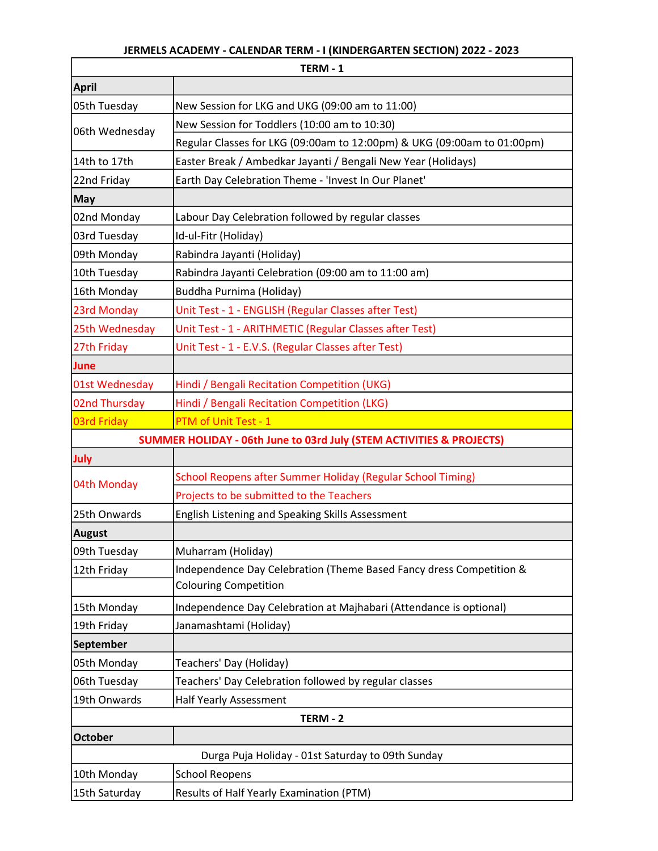## JERMELS ACADEMY - CALENDAR TERM - I (KINDERGARTEN SECTION) 2022 - 2023

|                                                                                 | TERM-1                                                                  |  |
|---------------------------------------------------------------------------------|-------------------------------------------------------------------------|--|
| <b>April</b>                                                                    |                                                                         |  |
| 05th Tuesday                                                                    | New Session for LKG and UKG (09:00 am to 11:00)                         |  |
| 06th Wednesday                                                                  | New Session for Toddlers (10:00 am to 10:30)                            |  |
|                                                                                 | Regular Classes for LKG (09:00am to 12:00pm) & UKG (09:00am to 01:00pm) |  |
| 14th to 17th                                                                    | Easter Break / Ambedkar Jayanti / Bengali New Year (Holidays)           |  |
| 22nd Friday                                                                     | Earth Day Celebration Theme - 'Invest In Our Planet'                    |  |
| <b>May</b>                                                                      |                                                                         |  |
| 02nd Monday                                                                     | Labour Day Celebration followed by regular classes                      |  |
| 03rd Tuesday                                                                    | Id-ul-Fitr (Holiday)                                                    |  |
| 09th Monday                                                                     | Rabindra Jayanti (Holiday)                                              |  |
| 10th Tuesday                                                                    | Rabindra Jayanti Celebration (09:00 am to 11:00 am)                     |  |
| 16th Monday                                                                     | Buddha Purnima (Holiday)                                                |  |
| 23rd Monday                                                                     | Unit Test - 1 - ENGLISH (Regular Classes after Test)                    |  |
| 25th Wednesday                                                                  | Unit Test - 1 - ARITHMETIC (Regular Classes after Test)                 |  |
| 27th Friday                                                                     | Unit Test - 1 - E.V.S. (Regular Classes after Test)                     |  |
| June                                                                            |                                                                         |  |
| 01st Wednesday                                                                  | Hindi / Bengali Recitation Competition (UKG)                            |  |
| 02nd Thursday                                                                   | Hindi / Bengali Recitation Competition (LKG)                            |  |
| 03rd Friday                                                                     | PTM of Unit Test - 1                                                    |  |
| <b>SUMMER HOLIDAY - 06th June to 03rd July (STEM ACTIVITIES &amp; PROJECTS)</b> |                                                                         |  |
| July                                                                            |                                                                         |  |
| 04th Monday                                                                     | School Reopens after Summer Holiday (Regular School Timing)             |  |
|                                                                                 | Projects to be submitted to the Teachers                                |  |
| 25th Onwards                                                                    | English Listening and Speaking Skills Assessment                        |  |
| <b>August</b>                                                                   |                                                                         |  |
| 09th Tuesday                                                                    | Muharram (Holiday)                                                      |  |
| 12th Friday                                                                     | Independence Day Celebration (Theme Based Fancy dress Competition &     |  |
|                                                                                 | <b>Colouring Competition</b>                                            |  |
| 15th Monday                                                                     | Independence Day Celebration at Majhabari (Attendance is optional)      |  |
| 19th Friday                                                                     | Janamashtami (Holiday)                                                  |  |
| September                                                                       |                                                                         |  |
| 05th Monday                                                                     | Teachers' Day (Holiday)                                                 |  |
| 06th Tuesday                                                                    | Teachers' Day Celebration followed by regular classes                   |  |
| 19th Onwards                                                                    | Half Yearly Assessment                                                  |  |
| TERM - 2                                                                        |                                                                         |  |
| <b>October</b>                                                                  |                                                                         |  |
| Durga Puja Holiday - 01st Saturday to 09th Sunday                               |                                                                         |  |
| 10th Monday                                                                     | <b>School Reopens</b>                                                   |  |
| 15th Saturday                                                                   | Results of Half Yearly Examination (PTM)                                |  |